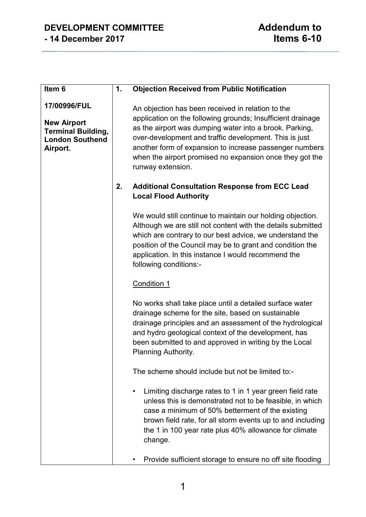### **DEVELOPMENT COMMITTEE**<br>14 December 2017 14 December 2017 **- 14 December 2017 Items 6-10**

| Item 6                                                                                                | 1. | <b>Objection Received from Public Notification</b>                                                                                                                                                                                                                                                                                                                                |
|-------------------------------------------------------------------------------------------------------|----|-----------------------------------------------------------------------------------------------------------------------------------------------------------------------------------------------------------------------------------------------------------------------------------------------------------------------------------------------------------------------------------|
| 17/00996/FUL<br><b>New Airport</b><br><b>Terminal Building,</b><br><b>London Southend</b><br>Airport. |    | An objection has been received in relation to the<br>application on the following grounds; Insufficient drainage<br>as the airport was dumping water into a brook. Parking,<br>over-development and traffic development. This is just<br>another form of expansion to increase passenger numbers<br>when the airport promised no expansion once they got the<br>runway extension. |
|                                                                                                       | 2. | <b>Additional Consultation Response from ECC Lead</b><br><b>Local Flood Authority</b>                                                                                                                                                                                                                                                                                             |
|                                                                                                       |    | We would still continue to maintain our holding objection.<br>Although we are still not content with the details submitted<br>which are contrary to our best advice, we understand the<br>position of the Council may be to grant and condition the<br>application. In this instance I would recommend the<br>following conditions:-                                              |
|                                                                                                       |    | <b>Condition 1</b>                                                                                                                                                                                                                                                                                                                                                                |
|                                                                                                       |    | No works shall take place until a detailed surface water<br>drainage scheme for the site, based on sustainable<br>drainage principles and an assessment of the hydrological<br>and hydro geological context of the development, has<br>been submitted to and approved in writing by the Local<br>Planning Authority.                                                              |
|                                                                                                       |    | The scheme should include but not be limited to:-                                                                                                                                                                                                                                                                                                                                 |
|                                                                                                       |    | Limiting discharge rates to 1 in 1 year green field rate<br>$\bullet$<br>unless this is demonstrated not to be feasible, in which<br>case a minimum of 50% betterment of the existing<br>brown field rate, for all storm events up to and including<br>the 1 in 100 year rate plus 40% allowance for climate<br>change.                                                           |
|                                                                                                       |    | Provide sufficient storage to ensure no off site flooding                                                                                                                                                                                                                                                                                                                         |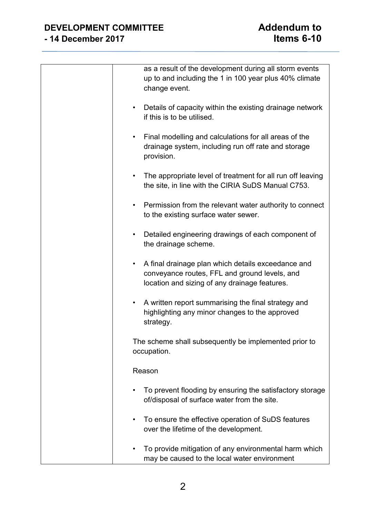| as a result of the development during all storm events<br>up to and including the 1 in 100 year plus 40% climate<br>change event.                         |
|-----------------------------------------------------------------------------------------------------------------------------------------------------------|
| Details of capacity within the existing drainage network<br>if this is to be utilised.                                                                    |
| Final modelling and calculations for all areas of the<br>drainage system, including run off rate and storage<br>provision.                                |
| The appropriate level of treatment for all run off leaving<br>the site, in line with the CIRIA SuDS Manual C753.                                          |
| Permission from the relevant water authority to connect<br>$\bullet$<br>to the existing surface water sewer.                                              |
| Detailed engineering drawings of each component of<br>٠<br>the drainage scheme.                                                                           |
| A final drainage plan which details exceedance and<br>٠<br>conveyance routes, FFL and ground levels, and<br>location and sizing of any drainage features. |
| A written report summarising the final strategy and<br>highlighting any minor changes to the approved<br>strategy.                                        |
| The scheme shall subsequently be implemented prior to<br>occupation.                                                                                      |
| Reason                                                                                                                                                    |
| To prevent flooding by ensuring the satisfactory storage<br>of/disposal of surface water from the site.                                                   |
| To ensure the effective operation of SuDS features<br>over the lifetime of the development.                                                               |
| To provide mitigation of any environmental harm which<br>may be caused to the local water environment                                                     |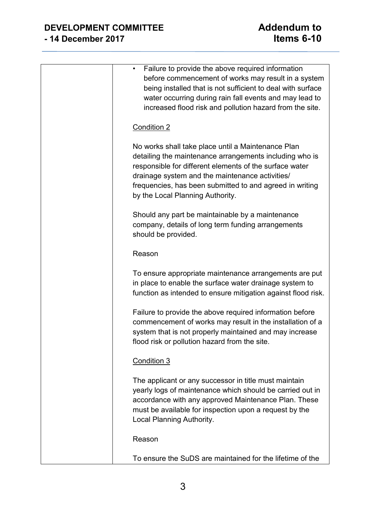| Failure to provide the above required information<br>before commencement of works may result in a system<br>being installed that is not sufficient to deal with surface<br>water occurring during rain fall events and may lead to<br>increased flood risk and pollution hazard from the site.                              |
|-----------------------------------------------------------------------------------------------------------------------------------------------------------------------------------------------------------------------------------------------------------------------------------------------------------------------------|
| Condition 2                                                                                                                                                                                                                                                                                                                 |
| No works shall take place until a Maintenance Plan<br>detailing the maintenance arrangements including who is<br>responsible for different elements of the surface water<br>drainage system and the maintenance activities/<br>frequencies, has been submitted to and agreed in writing<br>by the Local Planning Authority. |
| Should any part be maintainable by a maintenance<br>company, details of long term funding arrangements<br>should be provided.                                                                                                                                                                                               |
| Reason                                                                                                                                                                                                                                                                                                                      |
| To ensure appropriate maintenance arrangements are put<br>in place to enable the surface water drainage system to<br>function as intended to ensure mitigation against flood risk.                                                                                                                                          |
| Failure to provide the above required information before<br>commencement of works may result in the installation of a<br>system that is not properly maintained and may increase<br>flood risk or pollution hazard from the site.                                                                                           |
| Condition 3                                                                                                                                                                                                                                                                                                                 |
| The applicant or any successor in title must maintain<br>yearly logs of maintenance which should be carried out in<br>accordance with any approved Maintenance Plan. These<br>must be available for inspection upon a request by the<br>Local Planning Authority.                                                           |
| Reason                                                                                                                                                                                                                                                                                                                      |
| To ensure the SuDS are maintained for the lifetime of the                                                                                                                                                                                                                                                                   |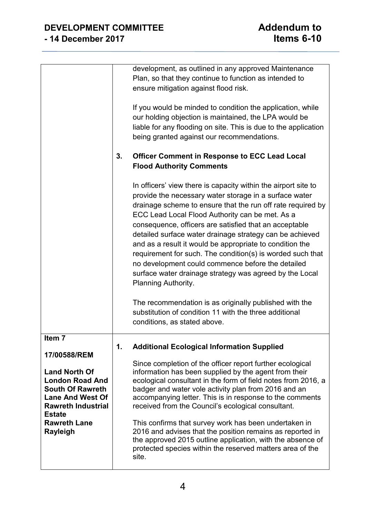|                                                                                                                                                    |    | development, as outlined in any approved Maintenance<br>Plan, so that they continue to function as intended to<br>ensure mitigation against flood risk.                                                                                                                                                                                                                                                                                                                                                                                                                                                                           |
|----------------------------------------------------------------------------------------------------------------------------------------------------|----|-----------------------------------------------------------------------------------------------------------------------------------------------------------------------------------------------------------------------------------------------------------------------------------------------------------------------------------------------------------------------------------------------------------------------------------------------------------------------------------------------------------------------------------------------------------------------------------------------------------------------------------|
|                                                                                                                                                    |    | If you would be minded to condition the application, while<br>our holding objection is maintained, the LPA would be<br>liable for any flooding on site. This is due to the application<br>being granted against our recommendations.                                                                                                                                                                                                                                                                                                                                                                                              |
|                                                                                                                                                    | 3. | <b>Officer Comment in Response to ECC Lead Local</b><br><b>Flood Authority Comments</b>                                                                                                                                                                                                                                                                                                                                                                                                                                                                                                                                           |
|                                                                                                                                                    |    | In officers' view there is capacity within the airport site to<br>provide the necessary water storage in a surface water<br>drainage scheme to ensure that the run off rate required by<br>ECC Lead Local Flood Authority can be met. As a<br>consequence, officers are satisfied that an acceptable<br>detailed surface water drainage strategy can be achieved<br>and as a result it would be appropriate to condition the<br>requirement for such. The condition(s) is worded such that<br>no development could commence before the detailed<br>surface water drainage strategy was agreed by the Local<br>Planning Authority. |
|                                                                                                                                                    |    | The recommendation is as originally published with the<br>substitution of condition 11 with the three additional<br>conditions, as stated above.                                                                                                                                                                                                                                                                                                                                                                                                                                                                                  |
| Item 7<br>17/00588/REM                                                                                                                             | 1. | <b>Additional Ecological Information Supplied</b>                                                                                                                                                                                                                                                                                                                                                                                                                                                                                                                                                                                 |
| <b>Land North Of</b><br><b>London Road And</b><br><b>South Of Rawreth</b><br><b>Lane And West Of</b><br><b>Rawreth Industrial</b><br><b>Estate</b> |    | Since completion of the officer report further ecological<br>information has been supplied by the agent from their<br>ecological consultant in the form of field notes from 2016, a<br>badger and water vole activity plan from 2016 and an<br>accompanying letter. This is in response to the comments<br>received from the Council's ecological consultant.                                                                                                                                                                                                                                                                     |
| <b>Rawreth Lane</b><br>Rayleigh                                                                                                                    |    | This confirms that survey work has been undertaken in<br>2016 and advises that the position remains as reported in<br>the approved 2015 outline application, with the absence of<br>protected species within the reserved matters area of the<br>site.                                                                                                                                                                                                                                                                                                                                                                            |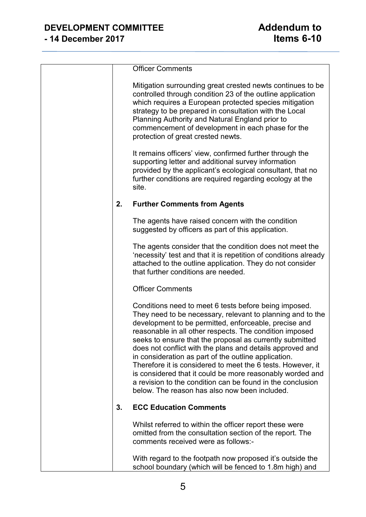|    | <b>Officer Comments</b>                                                                                                                                                                                                                                                                                                                                                                                                                                                                                                                                                                                                                                             |
|----|---------------------------------------------------------------------------------------------------------------------------------------------------------------------------------------------------------------------------------------------------------------------------------------------------------------------------------------------------------------------------------------------------------------------------------------------------------------------------------------------------------------------------------------------------------------------------------------------------------------------------------------------------------------------|
|    | Mitigation surrounding great crested newts continues to be<br>controlled through condition 23 of the outline application<br>which requires a European protected species mitigation<br>strategy to be prepared in consultation with the Local<br>Planning Authority and Natural England prior to<br>commencement of development in each phase for the<br>protection of great crested newts.                                                                                                                                                                                                                                                                          |
|    | It remains officers' view, confirmed further through the<br>supporting letter and additional survey information<br>provided by the applicant's ecological consultant, that no<br>further conditions are required regarding ecology at the<br>site.                                                                                                                                                                                                                                                                                                                                                                                                                  |
| 2. | <b>Further Comments from Agents</b>                                                                                                                                                                                                                                                                                                                                                                                                                                                                                                                                                                                                                                 |
|    | The agents have raised concern with the condition<br>suggested by officers as part of this application.                                                                                                                                                                                                                                                                                                                                                                                                                                                                                                                                                             |
|    | The agents consider that the condition does not meet the<br>'necessity' test and that it is repetition of conditions already<br>attached to the outline application. They do not consider<br>that further conditions are needed.                                                                                                                                                                                                                                                                                                                                                                                                                                    |
|    | <b>Officer Comments</b>                                                                                                                                                                                                                                                                                                                                                                                                                                                                                                                                                                                                                                             |
|    | Conditions need to meet 6 tests before being imposed.<br>They need to be necessary, relevant to planning and to the<br>development to be permitted, enforceable, precise and<br>reasonable in all other respects. The condition imposed<br>seeks to ensure that the proposal as currently submitted<br>does not conflict with the plans and details approved and<br>in consideration as part of the outline application.<br>Therefore it is considered to meet the 6 tests. However, it<br>is considered that it could be more reasonably worded and<br>a revision to the condition can be found in the conclusion<br>below. The reason has also now been included. |
| 3. | <b>ECC Education Comments</b>                                                                                                                                                                                                                                                                                                                                                                                                                                                                                                                                                                                                                                       |
|    | Whilst referred to within the officer report these were<br>omitted from the consultation section of the report. The<br>comments received were as follows:-                                                                                                                                                                                                                                                                                                                                                                                                                                                                                                          |
|    | With regard to the footpath now proposed it's outside the<br>school boundary (which will be fenced to 1.8m high) and                                                                                                                                                                                                                                                                                                                                                                                                                                                                                                                                                |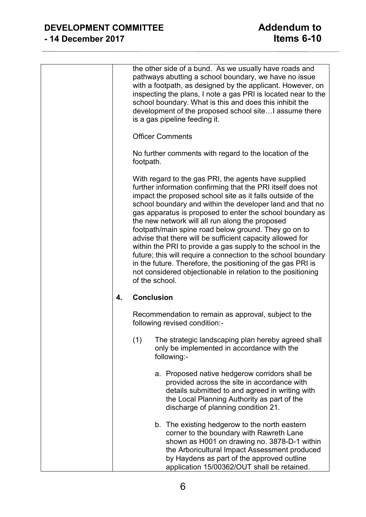# **DEVELOPMENT COMMITTEE**<br>14 December 2017 **Addendum to - 14 December 2017 Items 6-10**

|    |                   | the other side of a bund. As we usually have roads and<br>pathways abutting a school boundary, we have no issue<br>with a footpath, as designed by the applicant. However, on<br>inspecting the plans, I note a gas PRI is located near to the<br>school boundary. What is this and does this inhibit the<br>development of the proposed school site assume there<br>is a gas pipeline feeding it.                                                                                                                                                                                                                                                                                                                                                                  |
|----|-------------------|---------------------------------------------------------------------------------------------------------------------------------------------------------------------------------------------------------------------------------------------------------------------------------------------------------------------------------------------------------------------------------------------------------------------------------------------------------------------------------------------------------------------------------------------------------------------------------------------------------------------------------------------------------------------------------------------------------------------------------------------------------------------|
|    |                   | <b>Officer Comments</b>                                                                                                                                                                                                                                                                                                                                                                                                                                                                                                                                                                                                                                                                                                                                             |
|    | footpath.         | No further comments with regard to the location of the                                                                                                                                                                                                                                                                                                                                                                                                                                                                                                                                                                                                                                                                                                              |
|    |                   | With regard to the gas PRI, the agents have supplied<br>further information confirming that the PRI itself does not<br>impact the proposed school site as it falls outside of the<br>school boundary and within the developer land and that no<br>gas apparatus is proposed to enter the school boundary as<br>the new network will all run along the proposed<br>footpath/main spine road below ground. They go on to<br>advise that there will be sufficient capacity allowed for<br>within the PRI to provide a gas supply to the school in the<br>future; this will require a connection to the school boundary<br>in the future. Therefore, the positioning of the gas PRI is<br>not considered objectionable in relation to the positioning<br>of the school. |
| 4. | <b>Conclusion</b> |                                                                                                                                                                                                                                                                                                                                                                                                                                                                                                                                                                                                                                                                                                                                                                     |
|    |                   | Recommendation to remain as approval, subject to the<br>following revised condition:-                                                                                                                                                                                                                                                                                                                                                                                                                                                                                                                                                                                                                                                                               |
|    | (1)               | The strategic landscaping plan hereby agreed shall<br>only be implemented in accordance with the<br>following:-                                                                                                                                                                                                                                                                                                                                                                                                                                                                                                                                                                                                                                                     |
|    |                   | a. Proposed native hedgerow corridors shall be<br>provided across the site in accordance with<br>details submitted to and agreed in writing with<br>the Local Planning Authority as part of the<br>discharge of planning condition 21.                                                                                                                                                                                                                                                                                                                                                                                                                                                                                                                              |
|    |                   | b. The existing hedgerow to the north eastern<br>corner to the boundary with Rawreth Lane<br>shown as H001 on drawing no. 3878-D-1 within<br>the Arboricultural Impact Assessment produced<br>by Haydens as part of the approved outline<br>application 15/00362/OUT shall be retained.                                                                                                                                                                                                                                                                                                                                                                                                                                                                             |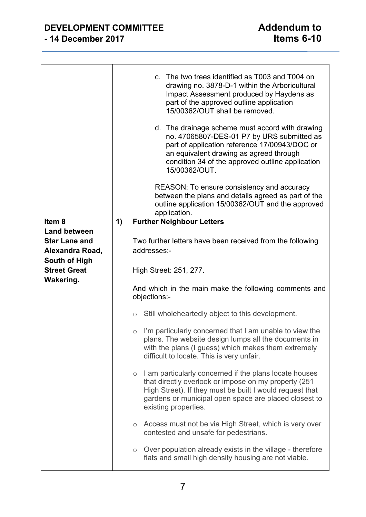### **DEVELOPMENT COMMITTEE Addendum to - 14 December 2017 Items 6-10**

|                      |    | c. The two trees identified as T003 and T004 on<br>drawing no. 3878-D-1 within the Arboricultural<br>Impact Assessment produced by Haydens as<br>part of the approved outline application<br>15/00362/OUT shall be removed.<br>d. The drainage scheme must accord with drawing<br>no. 47065807-DES-01 P7 by URS submitted as<br>part of application reference 17/00943/DOC or<br>an equivalent drawing as agreed through<br>condition 34 of the approved outline application<br>15/00362/OUT. |
|----------------------|----|-----------------------------------------------------------------------------------------------------------------------------------------------------------------------------------------------------------------------------------------------------------------------------------------------------------------------------------------------------------------------------------------------------------------------------------------------------------------------------------------------|
|                      |    | REASON: To ensure consistency and accuracy<br>between the plans and details agreed as part of the<br>outline application 15/00362/OUT and the approved<br>application.                                                                                                                                                                                                                                                                                                                        |
| Item <sub>8</sub>    | 1) | <b>Further Neighbour Letters</b>                                                                                                                                                                                                                                                                                                                                                                                                                                                              |
| <b>Land between</b>  |    |                                                                                                                                                                                                                                                                                                                                                                                                                                                                                               |
| <b>Star Lane and</b> |    | Two further letters have been received from the following                                                                                                                                                                                                                                                                                                                                                                                                                                     |
| Alexandra Road,      |    | addresses:-                                                                                                                                                                                                                                                                                                                                                                                                                                                                                   |
| South of High        |    |                                                                                                                                                                                                                                                                                                                                                                                                                                                                                               |
| <b>Street Great</b>  |    | High Street: 251, 277.                                                                                                                                                                                                                                                                                                                                                                                                                                                                        |
| Wakering.            |    |                                                                                                                                                                                                                                                                                                                                                                                                                                                                                               |
|                      |    | And which in the main make the following comments and<br>objections:-                                                                                                                                                                                                                                                                                                                                                                                                                         |
|                      |    | Still wholeheartedly object to this development.<br>$\circ$                                                                                                                                                                                                                                                                                                                                                                                                                                   |
|                      |    | $\circ$ I'm particularly concerned that I am unable to view the<br>plans. The website design lumps all the documents in<br>with the plans (I guess) which makes them extremely<br>difficult to locate. This is very unfair.                                                                                                                                                                                                                                                                   |
|                      |    | I am particularly concerned if the plans locate houses<br>$\circ$<br>that directly overlook or impose on my property (251)<br>High Street). If they must be built I would request that<br>gardens or municipal open space are placed closest to<br>existing properties.                                                                                                                                                                                                                       |
|                      |    | Access must not be via High Street, which is very over<br>$\bigcirc$<br>contested and unsafe for pedestrians.                                                                                                                                                                                                                                                                                                                                                                                 |
|                      |    | Over population already exists in the village - therefore<br>$\circ$<br>flats and small high density housing are not viable.                                                                                                                                                                                                                                                                                                                                                                  |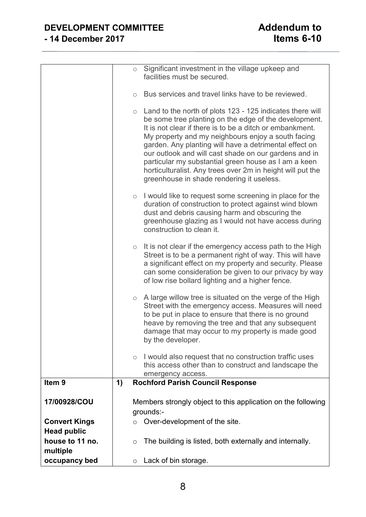# **DEVELOPMENT COMMITTEE**<br>14 December 2017 **Addendum to - 14 December 2017 Items 6-10**

| Item <sub>9</sub> | this access other than to construct and landscape the<br>emergency access.<br><b>Rochford Parish Council Response</b><br>1)                                                                                                                                                                                                                                                                                                                                                                                                              |
|-------------------|------------------------------------------------------------------------------------------------------------------------------------------------------------------------------------------------------------------------------------------------------------------------------------------------------------------------------------------------------------------------------------------------------------------------------------------------------------------------------------------------------------------------------------------|
|                   | damage that may occur to my property is made good<br>by the developer.<br>I would also request that no construction traffic uses<br>$\circ$                                                                                                                                                                                                                                                                                                                                                                                              |
|                   | A large willow tree is situated on the verge of the High<br>$\circ$<br>Street with the emergency access. Measures will need<br>to be put in place to ensure that there is no ground<br>heave by removing the tree and that any subsequent                                                                                                                                                                                                                                                                                                |
|                   | It is not clear if the emergency access path to the High<br>$\circ$<br>Street is to be a permanent right of way. This will have<br>a significant effect on my property and security. Please<br>can some consideration be given to our privacy by way<br>of low rise bollard lighting and a higher fence.                                                                                                                                                                                                                                 |
|                   | I would like to request some screening in place for the<br>$\bigcirc$<br>duration of construction to protect against wind blown<br>dust and debris causing harm and obscuring the<br>greenhouse glazing as I would not have access during<br>construction to clean it.                                                                                                                                                                                                                                                                   |
|                   | Land to the north of plots 123 - 125 indicates there will<br>$\bigcirc$<br>be some tree planting on the edge of the development.<br>It is not clear if there is to be a ditch or embankment.<br>My property and my neighbours enjoy a south facing<br>garden. Any planting will have a detrimental effect on<br>our outlook and will cast shade on our gardens and in<br>particular my substantial green house as I am a keen<br>horticulturalist. Any trees over 2m in height will put the<br>greenhouse in shade rendering it useless. |
|                   | Significant investment in the village upkeep and<br>$\circ$<br>facilities must be secured.<br>Bus services and travel links have to be reviewed.<br>$\circ$                                                                                                                                                                                                                                                                                                                                                                              |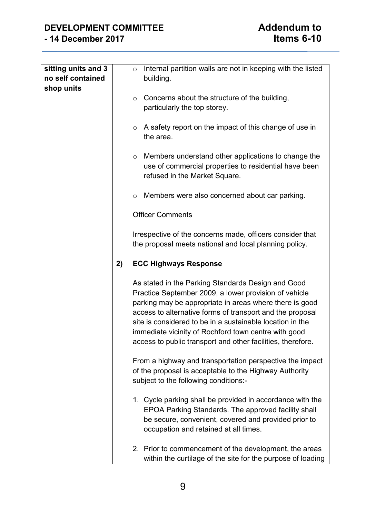| sitting units and 3 |    | Internal partition walls are not in keeping with the listed<br>$\circ$                                                                                                                                                                                                                                                                                                                                                  |
|---------------------|----|-------------------------------------------------------------------------------------------------------------------------------------------------------------------------------------------------------------------------------------------------------------------------------------------------------------------------------------------------------------------------------------------------------------------------|
| no self contained   |    | building.                                                                                                                                                                                                                                                                                                                                                                                                               |
| shop units          |    |                                                                                                                                                                                                                                                                                                                                                                                                                         |
|                     |    | Concerns about the structure of the building,<br>$\circ$<br>particularly the top storey.                                                                                                                                                                                                                                                                                                                                |
|                     |    | A safety report on the impact of this change of use in<br>$\circ$<br>the area.                                                                                                                                                                                                                                                                                                                                          |
|                     |    | Members understand other applications to change the<br>$\circ$<br>use of commercial properties to residential have been<br>refused in the Market Square.                                                                                                                                                                                                                                                                |
|                     |    | Members were also concerned about car parking.<br>$\circ$                                                                                                                                                                                                                                                                                                                                                               |
|                     |    | <b>Officer Comments</b>                                                                                                                                                                                                                                                                                                                                                                                                 |
|                     |    | Irrespective of the concerns made, officers consider that<br>the proposal meets national and local planning policy.                                                                                                                                                                                                                                                                                                     |
|                     | 2) | <b>ECC Highways Response</b>                                                                                                                                                                                                                                                                                                                                                                                            |
|                     |    | As stated in the Parking Standards Design and Good<br>Practice September 2009, a lower provision of vehicle<br>parking may be appropriate in areas where there is good<br>access to alternative forms of transport and the proposal<br>site is considered to be in a sustainable location in the<br>immediate vicinity of Rochford town centre with good<br>access to public transport and other facilities, therefore. |
|                     |    | From a highway and transportation perspective the impact<br>of the proposal is acceptable to the Highway Authority<br>subject to the following conditions:-                                                                                                                                                                                                                                                             |
|                     |    | 1. Cycle parking shall be provided in accordance with the<br>EPOA Parking Standards. The approved facility shall<br>be secure, convenient, covered and provided prior to<br>occupation and retained at all times.                                                                                                                                                                                                       |
|                     |    | 2. Prior to commencement of the development, the areas<br>within the curtilage of the site for the purpose of loading                                                                                                                                                                                                                                                                                                   |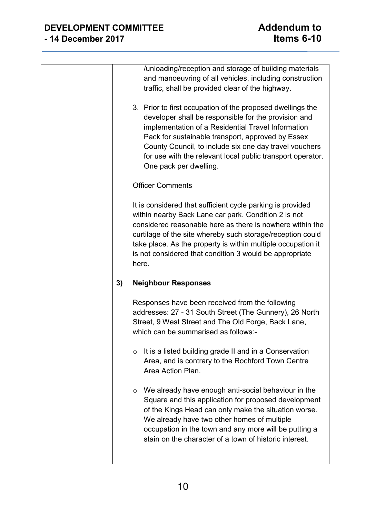|    | /unloading/reception and storage of building materials            |
|----|-------------------------------------------------------------------|
|    | and manoeuvring of all vehicles, including construction           |
|    | traffic, shall be provided clear of the highway.                  |
|    |                                                                   |
|    | 3. Prior to first occupation of the proposed dwellings the        |
|    | developer shall be responsible for the provision and              |
|    | implementation of a Residential Travel Information                |
|    | Pack for sustainable transport, approved by Essex                 |
|    | County Council, to include six one day travel vouchers            |
|    | for use with the relevant local public transport operator.        |
|    |                                                                   |
|    | One pack per dwelling.                                            |
|    | <b>Officer Comments</b>                                           |
|    |                                                                   |
|    | It is considered that sufficient cycle parking is provided        |
|    | within nearby Back Lane car park. Condition 2 is not              |
|    | considered reasonable here as there is nowhere within the         |
|    | curtilage of the site whereby such storage/reception could        |
|    | take place. As the property is within multiple occupation it      |
|    | is not considered that condition 3 would be appropriate           |
|    |                                                                   |
|    | here.                                                             |
| 3) | <b>Neighbour Responses</b>                                        |
|    |                                                                   |
|    | Responses have been received from the following                   |
|    | addresses: 27 - 31 South Street (The Gunnery), 26 North           |
|    | Street, 9 West Street and The Old Forge, Back Lane,               |
|    | which can be summarised as follows:-                              |
|    | It is a listed building grade II and in a Conservation<br>$\circ$ |
|    | Area, and is contrary to the Rochford Town Centre                 |
|    | Area Action Plan.                                                 |
|    |                                                                   |
|    | We already have enough anti-social behaviour in the<br>O          |
|    | Square and this application for proposed development              |
|    | of the Kings Head can only make the situation worse.              |
|    | We already have two other homes of multiple                       |
|    | occupation in the town and any more will be putting a             |
|    | stain on the character of a town of historic interest.            |
|    |                                                                   |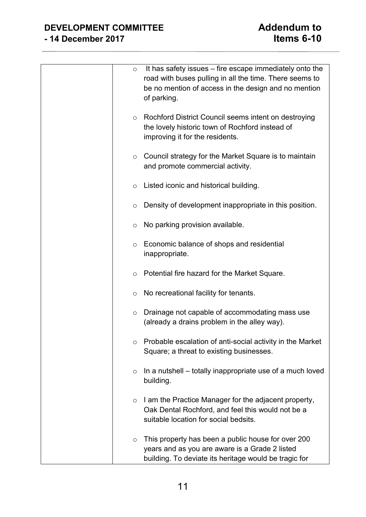# **DEVELOPMENT COMMITTEE**<br>14 December 2017 14 December 2017 **- 14 December 2017 Items 6-10**

| $\circ$ | It has safety issues – fire escape immediately onto the<br>road with buses pulling in all the time. There seems to<br>be no mention of access in the design and no mention<br>of parking. |
|---------|-------------------------------------------------------------------------------------------------------------------------------------------------------------------------------------------|
| $\circ$ | Rochford District Council seems intent on destroying<br>the lovely historic town of Rochford instead of<br>improving it for the residents.                                                |
| O       | Council strategy for the Market Square is to maintain<br>and promote commercial activity.                                                                                                 |
| O       | Listed iconic and historical building.                                                                                                                                                    |
| $\circ$ | Density of development inappropriate in this position.                                                                                                                                    |
| O       | No parking provision available.                                                                                                                                                           |
| O       | Economic balance of shops and residential<br>inappropriate.                                                                                                                               |
| O       | Potential fire hazard for the Market Square.                                                                                                                                              |
| O       | No recreational facility for tenants.                                                                                                                                                     |
| $\circ$ | Drainage not capable of accommodating mass use<br>(already a drains problem in the alley way).                                                                                            |
| O       | Probable escalation of anti-social activity in the Market<br>Square; a threat to existing businesses.                                                                                     |
| $\circ$ | In a nutshell – totally inappropriate use of a much loved<br>building.                                                                                                                    |
| $\circ$ | I am the Practice Manager for the adjacent property,<br>Oak Dental Rochford, and feel this would not be a<br>suitable location for social bedsits.                                        |
| O       | This property has been a public house for over 200<br>years and as you are aware is a Grade 2 listed<br>building. To deviate its heritage would be tragic for                             |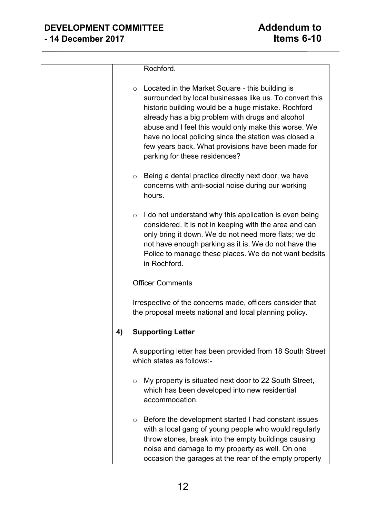|    | Rochford.                                                                                                                                                                                                                                                                                                                                                                                                                                |
|----|------------------------------------------------------------------------------------------------------------------------------------------------------------------------------------------------------------------------------------------------------------------------------------------------------------------------------------------------------------------------------------------------------------------------------------------|
|    | Located in the Market Square - this building is<br>$\circ$<br>surrounded by local businesses like us. To convert this<br>historic building would be a huge mistake. Rochford<br>already has a big problem with drugs and alcohol<br>abuse and I feel this would only make this worse. We<br>have no local policing since the station was closed a<br>few years back. What provisions have been made for<br>parking for these residences? |
|    | Being a dental practice directly next door, we have<br>$\circ$<br>concerns with anti-social noise during our working<br>hours.                                                                                                                                                                                                                                                                                                           |
|    | I do not understand why this application is even being<br>$\circ$<br>considered. It is not in keeping with the area and can<br>only bring it down. We do not need more flats; we do<br>not have enough parking as it is. We do not have the<br>Police to manage these places. We do not want bedsits<br>in Rochford.                                                                                                                     |
|    | <b>Officer Comments</b>                                                                                                                                                                                                                                                                                                                                                                                                                  |
|    | Irrespective of the concerns made, officers consider that<br>the proposal meets national and local planning policy.                                                                                                                                                                                                                                                                                                                      |
| 4) | <b>Supporting Letter</b>                                                                                                                                                                                                                                                                                                                                                                                                                 |
|    | A supporting letter has been provided from 18 South Street<br>which states as follows:-                                                                                                                                                                                                                                                                                                                                                  |
|    | My property is situated next door to 22 South Street,<br>$\circ$<br>which has been developed into new residential<br>accommodation.                                                                                                                                                                                                                                                                                                      |
|    | Before the development started I had constant issues<br>$\circ$<br>with a local gang of young people who would regularly<br>throw stones, break into the empty buildings causing<br>noise and damage to my property as well. On one<br>occasion the garages at the rear of the empty property                                                                                                                                            |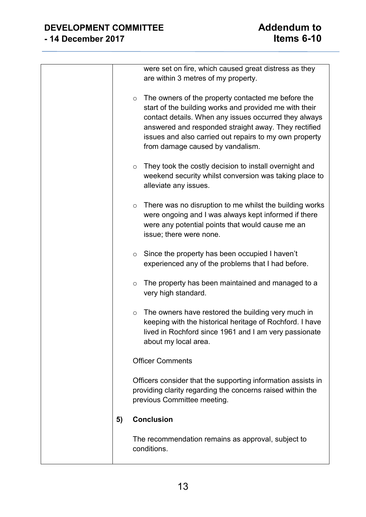|         | were set on fire, which caused great distress as they<br>are within 3 metres of my property.                                                                                                                                                                                                                                |
|---------|-----------------------------------------------------------------------------------------------------------------------------------------------------------------------------------------------------------------------------------------------------------------------------------------------------------------------------|
| $\circ$ | The owners of the property contacted me before the<br>start of the building works and provided me with their<br>contact details. When any issues occurred they always<br>answered and responded straight away. They rectified<br>issues and also carried out repairs to my own property<br>from damage caused by vandalism. |
| $\circ$ | They took the costly decision to install overnight and<br>weekend security whilst conversion was taking place to<br>alleviate any issues.                                                                                                                                                                                   |
| $\circ$ | There was no disruption to me whilst the building works<br>were ongoing and I was always kept informed if there<br>were any potential points that would cause me an<br>issue; there were none.                                                                                                                              |
| $\circ$ | Since the property has been occupied I haven't<br>experienced any of the problems that I had before.                                                                                                                                                                                                                        |
| $\circ$ | The property has been maintained and managed to a<br>very high standard.                                                                                                                                                                                                                                                    |
| $\circ$ | The owners have restored the building very much in<br>keeping with the historical heritage of Rochford. I have<br>lived in Rochford since 1961 and I am very passionate<br>about my local area.                                                                                                                             |
|         | <b>Officer Comments</b>                                                                                                                                                                                                                                                                                                     |
|         | Officers consider that the supporting information assists in<br>providing clarity regarding the concerns raised within the<br>previous Committee meeting.                                                                                                                                                                   |
| 5)      | <b>Conclusion</b>                                                                                                                                                                                                                                                                                                           |
|         | The recommendation remains as approval, subject to<br>conditions.                                                                                                                                                                                                                                                           |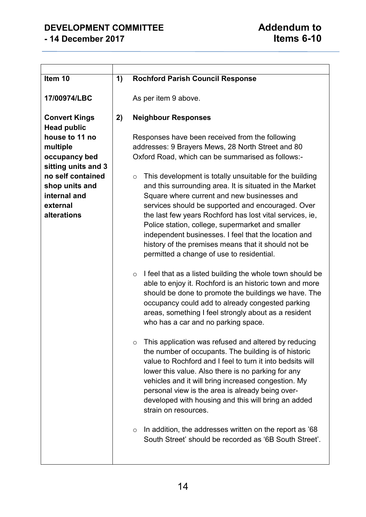# **DEVELOPMENT COMMITTEE Addendum to - 14 December 2017 Items 6-10**

 $\mathbf{r}$ 

 $\overline{\phantom{0}}$ 

| Item 10                                                                                                                                                                    | 1) | <b>Rochford Parish Council Response</b>                                                                                                                                                                                                                                                                                                                                                                                                                                                                                                                                                                                                                                                                                                                                                                                                                                                                                                                                                                                                                                                                                                                                                                                                                                                                                                                                                                                                                                                                                                                                               |
|----------------------------------------------------------------------------------------------------------------------------------------------------------------------------|----|---------------------------------------------------------------------------------------------------------------------------------------------------------------------------------------------------------------------------------------------------------------------------------------------------------------------------------------------------------------------------------------------------------------------------------------------------------------------------------------------------------------------------------------------------------------------------------------------------------------------------------------------------------------------------------------------------------------------------------------------------------------------------------------------------------------------------------------------------------------------------------------------------------------------------------------------------------------------------------------------------------------------------------------------------------------------------------------------------------------------------------------------------------------------------------------------------------------------------------------------------------------------------------------------------------------------------------------------------------------------------------------------------------------------------------------------------------------------------------------------------------------------------------------------------------------------------------------|
| 17/00974/LBC                                                                                                                                                               |    | As per item 9 above.                                                                                                                                                                                                                                                                                                                                                                                                                                                                                                                                                                                                                                                                                                                                                                                                                                                                                                                                                                                                                                                                                                                                                                                                                                                                                                                                                                                                                                                                                                                                                                  |
| <b>Convert Kings</b>                                                                                                                                                       | 2) | <b>Neighbour Responses</b>                                                                                                                                                                                                                                                                                                                                                                                                                                                                                                                                                                                                                                                                                                                                                                                                                                                                                                                                                                                                                                                                                                                                                                                                                                                                                                                                                                                                                                                                                                                                                            |
| <b>Head public</b><br>house to 11 no<br>multiple<br>occupancy bed<br>sitting units and 3<br>no self contained<br>shop units and<br>internal and<br>external<br>alterations |    | Responses have been received from the following<br>addresses: 9 Brayers Mews, 28 North Street and 80<br>Oxford Road, which can be summarised as follows:-<br>This development is totally unsuitable for the building<br>$\circ$<br>and this surrounding area. It is situated in the Market<br>Square where current and new businesses and<br>services should be supported and encouraged. Over<br>the last few years Rochford has lost vital services, ie,<br>Police station, college, supermarket and smaller<br>independent businesses. I feel that the location and<br>history of the premises means that it should not be<br>permitted a change of use to residential.<br>I feel that as a listed building the whole town should be<br>$\circ$<br>able to enjoy it. Rochford is an historic town and more<br>should be done to promote the buildings we have. The<br>occupancy could add to already congested parking<br>areas, something I feel strongly about as a resident<br>who has a car and no parking space.<br>This application was refused and altered by reducing<br>the number of occupants. The building is of historic<br>value to Rochford and I feel to turn it into bedsits will<br>lower this value. Also there is no parking for any<br>vehicles and it will bring increased congestion. My<br>personal view is the area is already being over-<br>developed with housing and this will bring an added<br>strain on resources.<br>In addition, the addresses written on the report as '68<br>$\circ$<br>South Street' should be recorded as '6B South Street'. |